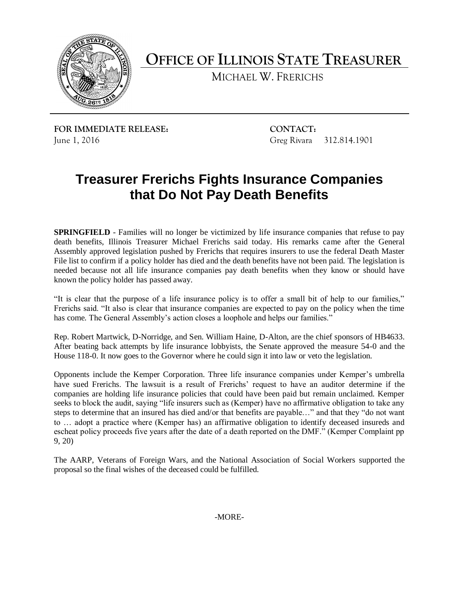

**OFFICE OF ILLINOIS STATE TREASURER**

MICHAEL W. FRERICHS

**FOR IMMEDIATE RELEASE: CONTACT:** June 1, 2016 Greg Rivara 312.814.1901

## **Treasurer Frerichs Fights Insurance Companies that Do Not Pay Death Benefits**

**SPRINGFIELD** - Families will no longer be victimized by life insurance companies that refuse to pay death benefits, Illinois Treasurer Michael Frerichs said today. His remarks came after the General Assembly approved legislation pushed by Frerichs that requires insurers to use the federal Death Master File list to confirm if a policy holder has died and the death benefits have not been paid. The legislation is needed because not all life insurance companies pay death benefits when they know or should have known the policy holder has passed away.

"It is clear that the purpose of a life insurance policy is to offer a small bit of help to our families," Frerichs said. "It also is clear that insurance companies are expected to pay on the policy when the time has come. The General Assembly's action closes a loophole and helps our families."

Rep. Robert Martwick, D-Norridge, and Sen. William Haine, D-Alton, are the chief sponsors of HB4633. After beating back attempts by life insurance lobbyists, the Senate approved the measure 54-0 and the House 118-0. It now goes to the Governor where he could sign it into law or veto the legislation.

Opponents include the Kemper Corporation. Three life insurance companies under Kemper's umbrella have sued Frerichs. The lawsuit is a result of Frerichs' request to have an auditor determine if the companies are holding life insurance policies that could have been paid but remain unclaimed. Kemper seeks to block the audit, saying "life insurers such as (Kemper) have no affirmative obligation to take any steps to determine that an insured has died and/or that benefits are payable…" and that they "do not want to … adopt a practice where (Kemper has) an affirmative obligation to identify deceased insureds and escheat policy proceeds five years after the date of a death reported on the DMF." (Kemper Complaint pp 9, 20)

The AARP, Veterans of Foreign Wars, and the National Association of Social Workers supported the proposal so the final wishes of the deceased could be fulfilled.

-MORE-